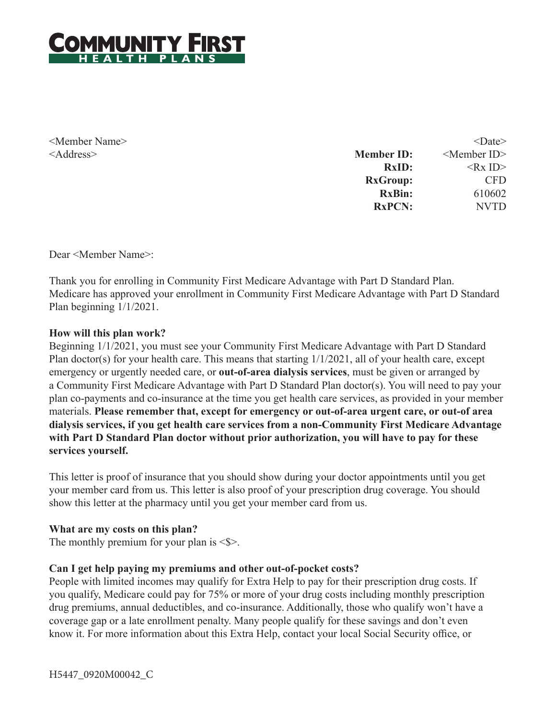

<Member Name> <Address>

| $<$ Date $>$            |
|-------------------------|
| <member id=""></member> |
| $<$ Rx ID $>$           |
| <b>CFD</b>              |
| 610602                  |
| <b>NVTD</b>             |
|                         |

Dear <Member Name>:

Thank you for enrolling in Community First Medicare Advantage with Part D Standard Plan. Medicare has approved your enrollment in Community First Medicare Advantage with Part D Standard Plan beginning 1/1/2021.

#### **How will this plan work?**

Beginning 1/1/2021, you must see your Community First Medicare Advantage with Part D Standard Plan doctor(s) for your health care. This means that starting 1/1/2021, all of your health care, except emergency or urgently needed care, or **out-of-area dialysis services**, must be given or arranged by a Community First Medicare Advantage with Part D Standard Plan doctor(s). You will need to pay your plan co-payments and co-insurance at the time you get health care services, as provided in your member materials. **Please remember that, except for emergency or out-of-area urgent care, or out-of area dialysis services, if you get health care services from a non-Community First Medicare Advantage with Part D Standard Plan doctor without prior authorization, you will have to pay for these services yourself.**

This letter is proof of insurance that you should show during your doctor appointments until you get your member card from us. This letter is also proof of your prescription drug coverage. You should show this letter at the pharmacy until you get your member card from us.

#### **What are my costs on this plan?**

The monthly premium for your plan is  $\le$ \$>.

#### **Can I get help paying my premiums and other out-of-pocket costs?**

People with limited incomes may qualify for Extra Help to pay for their prescription drug costs. If you qualify, Medicare could pay for 75% or more of your drug costs including monthly prescription drug premiums, annual deductibles, and co-insurance. Additionally, those who qualify won't have a coverage gap or a late enrollment penalty. Many people qualify for these savings and don't even know it. For more information about this Extra Help, contact your local Social Security office, or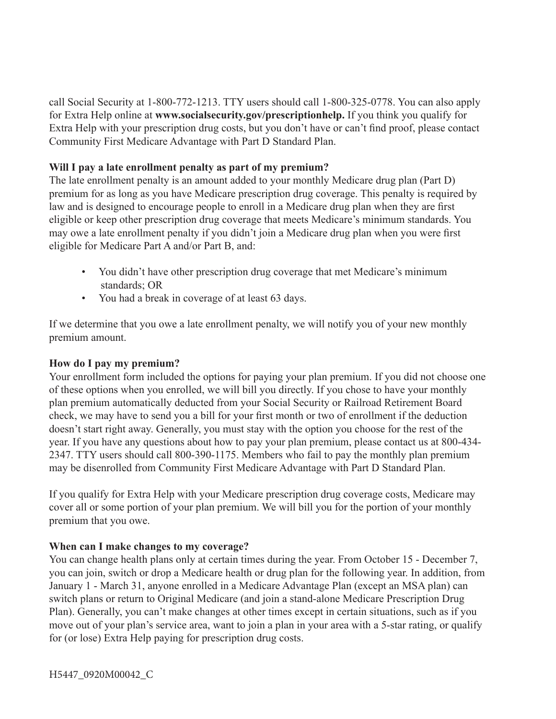call Social Security at 1-800-772-1213. TTY users should call 1-800-325-0778. You can also apply for Extra Help online at **www.socialsecurity.gov/prescriptionhelp.** If you think you qualify for Extra Help with your prescription drug costs, but you don't have or can't find proof, please contact Community First Medicare Advantage with Part D Standard Plan.

## **Will I pay a late enrollment penalty as part of my premium?**

The late enrollment penalty is an amount added to your monthly Medicare drug plan (Part D) premium for as long as you have Medicare prescription drug coverage. This penalty is required by law and is designed to encourage people to enroll in a Medicare drug plan when they are first eligible or keep other prescription drug coverage that meets Medicare's minimum standards. You may owe a late enrollment penalty if you didn't join a Medicare drug plan when you were first eligible for Medicare Part A and/or Part B, and:

- You didn't have other prescription drug coverage that met Medicare's minimum standards; OR
- You had a break in coverage of at least 63 days.

If we determine that you owe a late enrollment penalty, we will notify you of your new monthly premium amount.

### **How do I pay my premium?**

Your enrollment form included the options for paying your plan premium. If you did not choose one of these options when you enrolled, we will bill you directly. If you chose to have your monthly plan premium automatically deducted from your Social Security or Railroad Retirement Board check, we may have to send you a bill for your first month or two of enrollment if the deduction doesn't start right away. Generally, you must stay with the option you choose for the rest of the year. If you have any questions about how to pay your plan premium, please contact us at 800-434- 2347. TTY users should call 800-390-1175. Members who fail to pay the monthly plan premium may be disenrolled from Community First Medicare Advantage with Part D Standard Plan.

If you qualify for Extra Help with your Medicare prescription drug coverage costs, Medicare may cover all or some portion of your plan premium. We will bill you for the portion of your monthly premium that you owe.

# **When can I make changes to my coverage?**

You can change health plans only at certain times during the year. From October 15 - December 7, you can join, switch or drop a Medicare health or drug plan for the following year. In addition, from January 1 - March 31, anyone enrolled in a Medicare Advantage Plan (except an MSA plan) can switch plans or return to Original Medicare (and join a stand-alone Medicare Prescription Drug Plan). Generally, you can't make changes at other times except in certain situations, such as if you move out of your plan's service area, want to join a plan in your area with a 5-star rating, or qualify for (or lose) Extra Help paying for prescription drug costs.